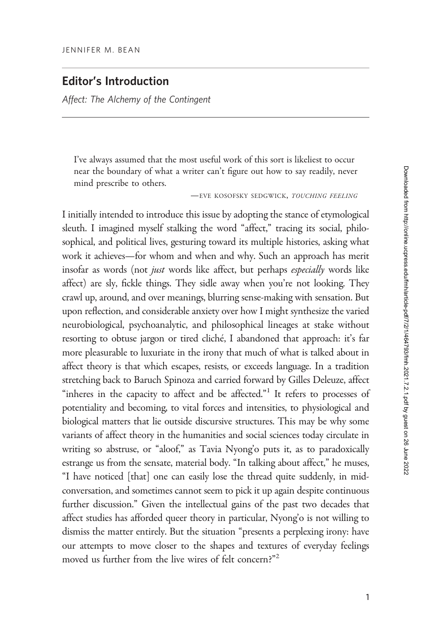# Editor's Introduction

Affect: The Alchemy of the Contingent

I've always assumed that the most useful work of this sort is likeliest to occur near the boundary of what a writer can't figure out how to say readily, never mind prescribe to others.

—EVE KOSOFSKY SEDGWICK, TOUCHING FEELING

I initially intended to introduce this issue by adopting the stance of etymological sleuth. I imagined myself stalking the word "affect," tracing its social, philosophical, and political lives, gesturing toward its multiple histories, asking what work it achieves—for whom and when and why. Such an approach has merit insofar as words (not just words like affect, but perhaps especially words like affect) are sly, fickle things. They sidle away when you're not looking. They crawl up, around, and over meanings, blurring sense-making with sensation. But upon reflection, and considerable anxiety over how I might synthesize the varied neurobiological, psychoanalytic, and philosophical lineages at stake without resorting to obtuse jargon or tired cliché, I abandoned that approach: it's far more pleasurable to luxuriate in the irony that much of what is talked about in affect theory is that which escapes, resists, or exceeds language. In a tradition stretching back to Baruch Spinoza and carried forward by Gilles Deleuze, affect "inheres in the capacity to affect and be affected."<sup>1</sup> It refers to processes of potentiality and becoming, to vital forces and intensities, to physiological and biological matters that lie outside discursive structures. This may be why some variants of affect theory in the humanities and social sciences today circulate in writing so abstruse, or "aloof," as Tavia Nyong'o puts it, as to paradoxically estrange us from the sensate, material body. "In talking about affect," he muses, "I have noticed [that] one can easily lose the thread quite suddenly, in midconversation, and sometimes cannot seem to pick it up again despite continuous further discussion." Given the intellectual gains of the past two decades that affect studies has afforded queer theory in particular, Nyong'o is not willing to dismiss the matter entirely. But the situation "presents a perplexing irony: have our attempts to move closer to the shapes and textures of everyday feelings moved us further from the live wires of felt concern?"<sup>2</sup>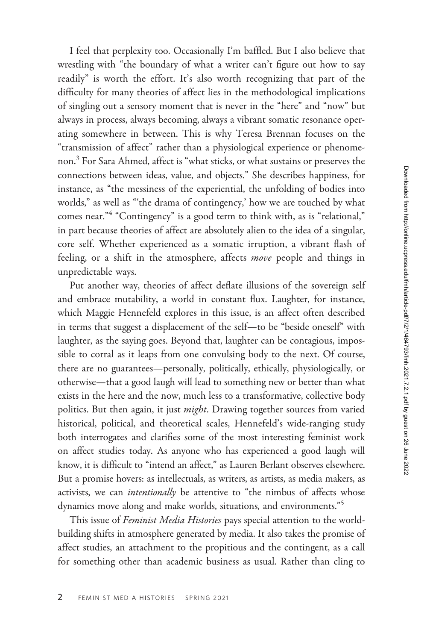I feel that perplexity too. Occasionally I'm baffled. But I also believe that wrestling with "the boundary of what a writer can't figure out how to say readily" is worth the effort. It's also worth recognizing that part of the difficulty for many theories of affect lies in the methodological implications of singling out a sensory moment that is never in the "here" and "now" but always in process, always becoming, always a vibrant somatic resonance operating somewhere in between. This is why Teresa Brennan focuses on the "transmission of affect" rather than a physiological experience or phenomenon.<sup>3</sup> For Sara Ahmed, affect is "what sticks, or what sustains or preserves the connections between ideas, value, and objects." She describes happiness, for instance, as "the messiness of the experiential, the unfolding of bodies into worlds," as well as "'the drama of contingency,' how we are touched by what comes near."<sup>4</sup> "Contingency" is a good term to think with, as is "relational," in part because theories of affect are absolutely alien to the idea of a singular, core self. Whether experienced as a somatic irruption, a vibrant flash of feeling, or a shift in the atmosphere, affects move people and things in unpredictable ways.

Put another way, theories of affect deflate illusions of the sovereign self and embrace mutability, a world in constant flux. Laughter, for instance, which Maggie Hennefeld explores in this issue, is an affect often described in terms that suggest a displacement of the self—to be "beside oneself" with laughter, as the saying goes. Beyond that, laughter can be contagious, impossible to corral as it leaps from one convulsing body to the next. Of course, there are no guarantees—personally, politically, ethically, physiologically, or otherwise—that a good laugh will lead to something new or better than what exists in the here and the now, much less to a transformative, collective body politics. But then again, it just *might*. Drawing together sources from varied historical, political, and theoretical scales, Hennefeld's wide-ranging study both interrogates and clarifies some of the most interesting feminist work on affect studies today. As anyone who has experienced a good laugh will know, it is difficult to "intend an affect," as Lauren Berlant observes elsewhere. But a promise hovers: as intellectuals, as writers, as artists, as media makers, as activists, we can *intentionally* be attentive to "the nimbus of affects whose dynamics move along and make worlds, situations, and environments."<sup>5</sup>

This issue of Feminist Media Histories pays special attention to the worldbuilding shifts in atmosphere generated by media. It also takes the promise of affect studies, an attachment to the propitious and the contingent, as a call for something other than academic business as usual. Rather than cling to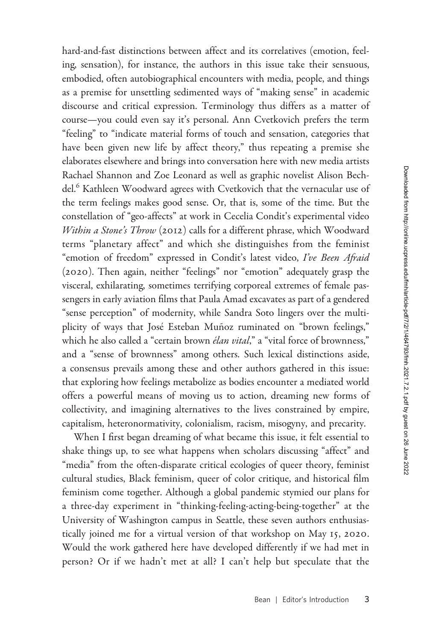hard-and-fast distinctions between affect and its correlatives (emotion, feeling, sensation), for instance, the authors in this issue take their sensuous, embodied, often autobiographical encounters with media, people, and things as a premise for unsettling sedimented ways of "making sense" in academic discourse and critical expression. Terminology thus differs as a matter of course—you could even say it's personal. Ann Cvetkovich prefers the term "feeling" to "indicate material forms of touch and sensation, categories that have been given new life by affect theory," thus repeating a premise she elaborates elsewhere and brings into conversation here with new media artists Rachael Shannon and Zoe Leonard as well as graphic novelist Alison Bechdel.<sup>6</sup> Kathleen Woodward agrees with Cvetkovich that the vernacular use of the term feelings makes good sense. Or, that is, some of the time. But the constellation of "geo-affects" at work in Cecelia Condit's experimental video Within a Stone's Throw (2012) calls for a different phrase, which Woodward terms "planetary affect" and which she distinguishes from the feminist "emotion of freedom" expressed in Condit's latest video, I've Been Afraid (2020). Then again, neither "feelings" nor "emotion" adequately grasp the visceral, exhilarating, sometimes terrifying corporeal extremes of female passengers in early aviation films that Paula Amad excavates as part of a gendered "sense perception" of modernity, while Sandra Soto lingers over the multiplicity of ways that José Esteban Muñoz ruminated on "brown feelings," which he also called a "certain brown *élan vital*," a "vital force of brownness," and a "sense of brownness" among others. Such lexical distinctions aside, a consensus prevails among these and other authors gathered in this issue: that exploring how feelings metabolize as bodies encounter a mediated world offers a powerful means of moving us to action, dreaming new forms of collectivity, and imagining alternatives to the lives constrained by empire, capitalism, heteronormativity, colonialism, racism, misogyny, and precarity.

When I first began dreaming of what became this issue, it felt essential to shake things up, to see what happens when scholars discussing "affect" and "media" from the often-disparate critical ecologies of queer theory, feminist cultural studies, Black feminism, queer of color critique, and historical film feminism come together. Although a global pandemic stymied our plans for a three-day experiment in "thinking-feeling-acting-being-together" at the University of Washington campus in Seattle, these seven authors enthusiastically joined me for a virtual version of that workshop on May 15, 2020. Would the work gathered here have developed differently if we had met in person? Or if we hadn't met at all? I can't help but speculate that the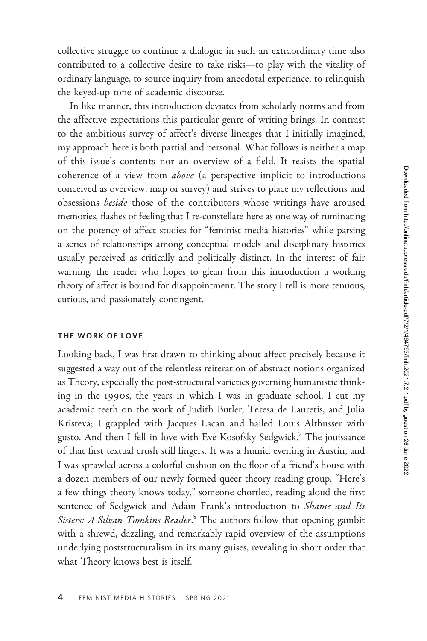collective struggle to continue a dialogue in such an extraordinary time also contributed to a collective desire to take risks—to play with the vitality of ordinary language, to source inquiry from anecdotal experience, to relinquish the keyed-up tone of academic discourse.

In like manner, this introduction deviates from scholarly norms and from the affective expectations this particular genre of writing brings. In contrast to the ambitious survey of affect's diverse lineages that I initially imagined, my approach here is both partial and personal. What follows is neither a map of this issue's contents nor an overview of a field. It resists the spatial coherence of a view from above (a perspective implicit to introductions conceived as overview, map or survey) and strives to place my reflections and obsessions beside those of the contributors whose writings have aroused memories, flashes of feeling that I re-constellate here as one way of ruminating on the potency of affect studies for "feminist media histories" while parsing a series of relationships among conceptual models and disciplinary histories usually perceived as critically and politically distinct. In the interest of fair warning, the reader who hopes to glean from this introduction a working theory of affect is bound for disappointment. The story I tell is more tenuous, curious, and passionately contingent.

## THE WORK OF LOVE

Looking back, I was first drawn to thinking about affect precisely because it suggested a way out of the relentless reiteration of abstract notions organized as Theory, especially the post-structural varieties governing humanistic thinking in the 1990s, the years in which I was in graduate school. I cut my academic teeth on the work of Judith Butler, Teresa de Lauretis, and Julia Kristeva; I grappled with Jacques Lacan and hailed Louis Althusser with gusto. And then I fell in love with Eve Kosofsky Sedgwick.<sup>7</sup> The jouissance of that first textual crush still lingers. It was a humid evening in Austin, and I was sprawled across a colorful cushion on the floor of a friend's house with a dozen members of our newly formed queer theory reading group. "Here's a few things theory knows today," someone chortled, reading aloud the first sentence of Sedgwick and Adam Frank's introduction to Shame and Its Sisters: A Silvan Tomkins Reader.<sup>8</sup> The authors follow that opening gambit with a shrewd, dazzling, and remarkably rapid overview of the assumptions underlying poststructuralism in its many guises, revealing in short order that what Theory knows best is itself.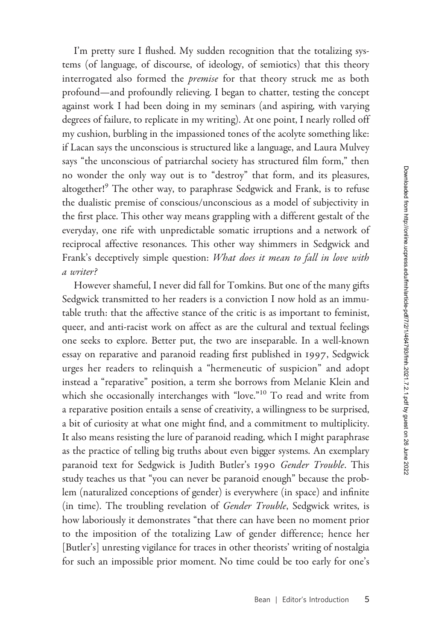I'm pretty sure I flushed. My sudden recognition that the totalizing systems (of language, of discourse, of ideology, of semiotics) that this theory interrogated also formed the *premise* for that theory struck me as both profound—and profoundly relieving. I began to chatter, testing the concept against work I had been doing in my seminars (and aspiring, with varying degrees of failure, to replicate in my writing). At one point, I nearly rolled off my cushion, burbling in the impassioned tones of the acolyte something like: if Lacan says the unconscious is structured like a language, and Laura Mulvey says "the unconscious of patriarchal society has structured film form," then no wonder the only way out is to "destroy" that form, and its pleasures, altogether!<sup>9</sup> The other way, to paraphrase Sedgwick and Frank, is to refuse the dualistic premise of conscious/unconscious as a model of subjectivity in the first place. This other way means grappling with a different gestalt of the everyday, one rife with unpredictable somatic irruptions and a network of reciprocal affective resonances. This other way shimmers in Sedgwick and Frank's deceptively simple question: What does it mean to fall in love with a writer?

However shameful, I never did fall for Tomkins. But one of the many gifts Sedgwick transmitted to her readers is a conviction I now hold as an immutable truth: that the affective stance of the critic is as important to feminist, queer, and anti-racist work on affect as are the cultural and textual feelings one seeks to explore. Better put, the two are inseparable. In a well-known essay on reparative and paranoid reading first published in 1997, Sedgwick urges her readers to relinquish a "hermeneutic of suspicion" and adopt instead a "reparative" position, a term she borrows from Melanie Klein and which she occasionally interchanges with "love."<sup>10</sup> To read and write from a reparative position entails a sense of creativity, a willingness to be surprised, a bit of curiosity at what one might find, and a commitment to multiplicity. It also means resisting the lure of paranoid reading, which I might paraphrase as the practice of telling big truths about even bigger systems. An exemplary paranoid text for Sedgwick is Judith Butler's 1990 Gender Trouble. This study teaches us that "you can never be paranoid enough" because the problem (naturalized conceptions of gender) is everywhere (in space) and infinite (in time). The troubling revelation of Gender Trouble, Sedgwick writes, is how laboriously it demonstrates "that there can have been no moment prior to the imposition of the totalizing Law of gender difference; hence her [Butler's] unresting vigilance for traces in other theorists' writing of nostalgia for such an impossible prior moment. No time could be too early for one's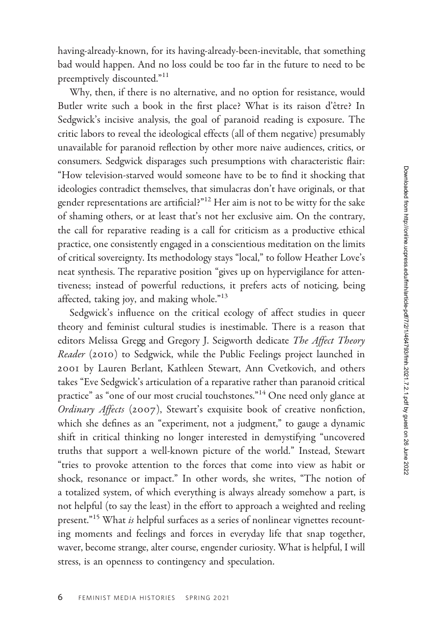having-already-known, for its having-already-been-inevitable, that something bad would happen. And no loss could be too far in the future to need to be preemptively discounted."<sup>11</sup>

Why, then, if there is no alternative, and no option for resistance, would Butler write such a book in the first place? What is its raison d'être? In Sedgwick's incisive analysis, the goal of paranoid reading is exposure. The critic labors to reveal the ideological effects (all of them negative) presumably unavailable for paranoid reflection by other more naive audiences, critics, or consumers. Sedgwick disparages such presumptions with characteristic flair: "How television-starved would someone have to be to find it shocking that ideologies contradict themselves, that simulacras don't have originals, or that gender representations are artificial?"<sup>12</sup> Her aim is not to be witty for the sake of shaming others, or at least that's not her exclusive aim. On the contrary, the call for reparative reading is a call for criticism as a productive ethical practice, one consistently engaged in a conscientious meditation on the limits of critical sovereignty. Its methodology stays "local," to follow Heather Love's neat synthesis. The reparative position "gives up on hypervigilance for attentiveness; instead of powerful reductions, it prefers acts of noticing, being affected, taking joy, and making whole."<sup>13</sup>

Sedgwick's influence on the critical ecology of affect studies in queer theory and feminist cultural studies is inestimable. There is a reason that editors Melissa Gregg and Gregory J. Seigworth dedicate The Affect Theory Reader (2010) to Sedgwick, while the Public Feelings project launched in 2001 by Lauren Berlant, Kathleen Stewart, Ann Cvetkovich, and others takes "Eve Sedgwick's articulation of a reparative rather than paranoid critical practice" as "one of our most crucial touchstones."<sup>14</sup> One need only glance at Ordinary Affects (2007), Stewart's exquisite book of creative nonfiction, which she defines as an "experiment, not a judgment," to gauge a dynamic shift in critical thinking no longer interested in demystifying "uncovered truths that support a well-known picture of the world." Instead, Stewart "tries to provoke attention to the forces that come into view as habit or shock, resonance or impact." In other words, she writes, "The notion of a totalized system, of which everything is always already somehow a part, is not helpful (to say the least) in the effort to approach a weighted and reeling present."<sup>15</sup> What is helpful surfaces as a series of nonlinear vignettes recounting moments and feelings and forces in everyday life that snap together, waver, become strange, alter course, engender curiosity. What is helpful, I will stress, is an openness to contingency and speculation.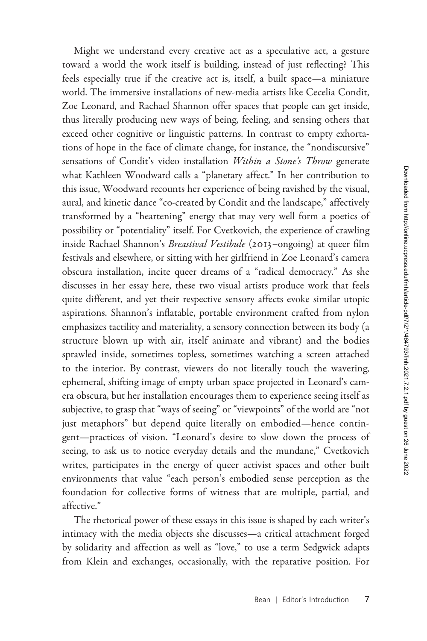Might we understand every creative act as a speculative act, a gesture toward a world the work itself is building, instead of just reflecting? This feels especially true if the creative act is, itself, a built space—a miniature world. The immersive installations of new-media artists like Cecelia Condit, Zoe Leonard, and Rachael Shannon offer spaces that people can get inside, thus literally producing new ways of being, feeling, and sensing others that exceed other cognitive or linguistic patterns. In contrast to empty exhortations of hope in the face of climate change, for instance, the "nondiscursive" sensations of Condit's video installation Within a Stone's Throw generate what Kathleen Woodward calls a "planetary affect." In her contribution to this issue, Woodward recounts her experience of being ravished by the visual, aural, and kinetic dance "co-created by Condit and the landscape," affectively transformed by a "heartening" energy that may very well form a poetics of possibility or "potentiality" itself. For Cvetkovich, the experience of crawling inside Rachael Shannon's *Breastival Vestibule* (2013–ongoing) at queer film festivals and elsewhere, or sitting with her girlfriend in Zoe Leonard's camera obscura installation, incite queer dreams of a "radical democracy." As she discusses in her essay here, these two visual artists produce work that feels quite different, and yet their respective sensory affects evoke similar utopic aspirations. Shannon's inflatable, portable environment crafted from nylon emphasizes tactility and materiality, a sensory connection between its body (a structure blown up with air, itself animate and vibrant) and the bodies sprawled inside, sometimes topless, sometimes watching a screen attached to the interior. By contrast, viewers do not literally touch the wavering, ephemeral, shifting image of empty urban space projected in Leonard's camera obscura, but her installation encourages them to experience seeing itself as subjective, to grasp that "ways of seeing" or "viewpoints" of the world are "not just metaphors" but depend quite literally on embodied—hence contingent—practices of vision. "Leonard's desire to slow down the process of seeing, to ask us to notice everyday details and the mundane," Cvetkovich writes, participates in the energy of queer activist spaces and other built environments that value "each person's embodied sense perception as the foundation for collective forms of witness that are multiple, partial, and affective."

The rhetorical power of these essays in this issue is shaped by each writer's intimacy with the media objects she discusses—a critical attachment forged by solidarity and affection as well as "love," to use a term Sedgwick adapts from Klein and exchanges, occasionally, with the reparative position. For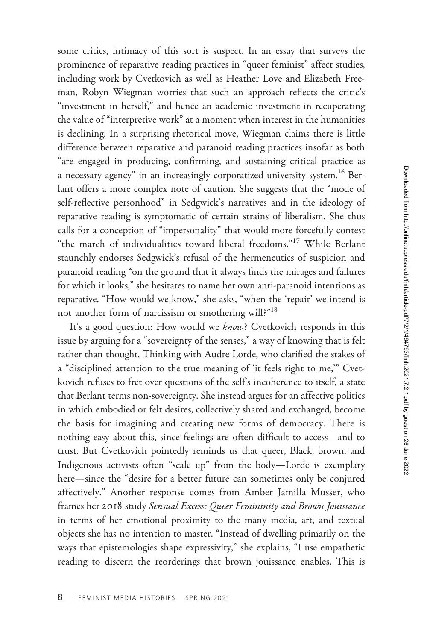some critics, intimacy of this sort is suspect. In an essay that surveys the prominence of reparative reading practices in "queer feminist" affect studies, including work by Cvetkovich as well as Heather Love and Elizabeth Freeman, Robyn Wiegman worries that such an approach reflects the critic's "investment in herself," and hence an academic investment in recuperating the value of "interpretive work" at a moment when interest in the humanities is declining. In a surprising rhetorical move, Wiegman claims there is little difference between reparative and paranoid reading practices insofar as both "are engaged in producing, confirming, and sustaining critical practice as a necessary agency" in an increasingly corporatized university system.16 Berlant offers a more complex note of caution. She suggests that the "mode of self-reflective personhood" in Sedgwick's narratives and in the ideology of reparative reading is symptomatic of certain strains of liberalism. She thus calls for a conception of "impersonality" that would more forcefully contest "the march of individualities toward liberal freedoms."<sup>17</sup> While Berlant staunchly endorses Sedgwick's refusal of the hermeneutics of suspicion and paranoid reading "on the ground that it always finds the mirages and failures for which it looks," she hesitates to name her own anti-paranoid intentions as reparative. "How would we know," she asks, "when the 'repair' we intend is not another form of narcissism or smothering will?"18

It's a good question: How would we know? Cvetkovich responds in this issue by arguing for a "sovereignty of the senses," a way of knowing that is felt rather than thought. Thinking with Audre Lorde, who clarified the stakes of a "disciplined attention to the true meaning of 'it feels right to me,'" Cvetkovich refuses to fret over questions of the self's incoherence to itself, a state that Berlant terms non-sovereignty. She instead argues for an affective politics in which embodied or felt desires, collectively shared and exchanged, become the basis for imagining and creating new forms of democracy. There is nothing easy about this, since feelings are often difficult to access—and to trust. But Cvetkovich pointedly reminds us that queer, Black, brown, and Indigenous activists often "scale up" from the body—Lorde is exemplary here—since the "desire for a better future can sometimes only be conjured affectively." Another response comes from Amber Jamilla Musser, who frames her 2018 study Sensual Excess: Queer Femininity and Brown Jouissance in terms of her emotional proximity to the many media, art, and textual objects she has no intention to master. "Instead of dwelling primarily on the ways that epistemologies shape expressivity," she explains, "I use empathetic reading to discern the reorderings that brown jouissance enables. This is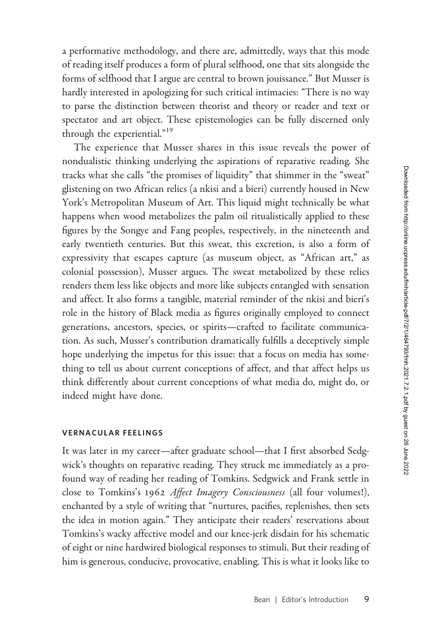a performative methodology, and there are, admittedly, ways that this mode of reading itself produces a form of plural selfhood, one that sits alongside the forms of selfhood that I argue are central to brown jouissance." But Musser is hardly interested in apologizing for such critical intimacies: "There is no way to parse the distinction between theorist and theory or reader and text or spectator and art object. These epistemologies can be fully discerned only through the experiential."<sup>19</sup>

The experience that Musser shares in this issue reveals the power of nondualistic thinking underlying the aspirations of reparative reading. She tracks what she calls "the promises of liquidity" that shimmer in the "sweat" glistening on two African relics (a nkisi and a bieri) currently housed in New York's Metropolitan Museum of Art. This liquid might technically be what happens when wood metabolizes the palm oil ritualistically applied to these figures by the Songye and Fang peoples, respectively, in the nineteenth and early twentieth centuries. But this sweat, this excretion, is also a form of expressivity that escapes capture (as museum object, as "African art," as colonial possession), Musser argues. The sweat metabolized by these relics renders them less like objects and more like subjects entangled with sensation and affect. It also forms a tangible, material reminder of the nkisi and bieri's role in the history of Black media as figures originally employed to connect generations, ancestors, species, or spirits—crafted to facilitate communication. As such, Musser's contribution dramatically fulfills a deceptively simple hope underlying the impetus for this issue: that a focus on media has something to tell us about current conceptions of affect, and that affect helps us think differently about current conceptions of what media do, might do, or indeed might have done.

### VERNACULAR FEELINGS

It was later in my career—after graduate school—that I first absorbed Sedgwick's thoughts on reparative reading. They struck me immediately as a profound way of reading her reading of Tomkins. Sedgwick and Frank settle in close to Tomkins's 1962 Affect Imagery Consciousness (all four volumes!), enchanted by a style of writing that "nurtures, pacifies, replenishes, then sets the idea in motion again." They anticipate their readers' reservations about Tomkins's wacky affective model and our knee-jerk disdain for his schematic of eight or nine hardwired biological responses to stimuli. But their reading of him is generous, conducive, provocative, enabling. This is what it looks like to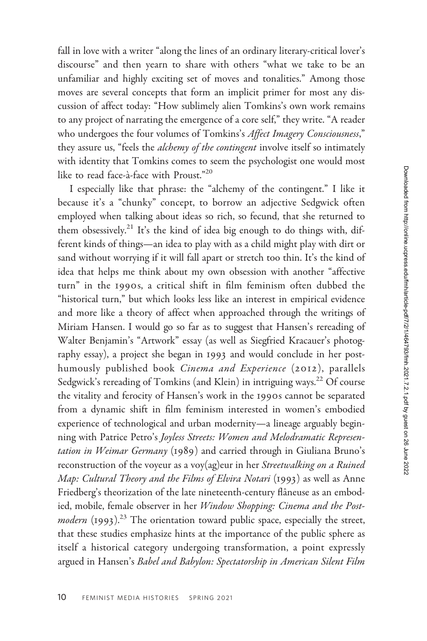fall in love with a writer "along the lines of an ordinary literary-critical lover's discourse" and then yearn to share with others "what we take to be an unfamiliar and highly exciting set of moves and tonalities." Among those moves are several concepts that form an implicit primer for most any discussion of affect today: "How sublimely alien Tomkins's own work remains to any project of narrating the emergence of a core self," they write. "A reader who undergoes the four volumes of Tomkins's Affect Imagery Consciousness," they assure us, "feels the *alchemy of the contingent* involve itself so intimately with identity that Tomkins comes to seem the psychologist one would most like to read face-à-face with Proust."<sup>20</sup>

I especially like that phrase: the "alchemy of the contingent." I like it because it's a "chunky" concept, to borrow an adjective Sedgwick often employed when talking about ideas so rich, so fecund, that she returned to them obsessively.<sup>21</sup> It's the kind of idea big enough to do things with, different kinds of things—an idea to play with as a child might play with dirt or sand without worrying if it will fall apart or stretch too thin. It's the kind of idea that helps me think about my own obsession with another "affective turn" in the 1990s, a critical shift in film feminism often dubbed the "historical turn," but which looks less like an interest in empirical evidence and more like a theory of affect when approached through the writings of Miriam Hansen. I would go so far as to suggest that Hansen's rereading of Walter Benjamin's "Artwork" essay (as well as Siegfried Kracauer's photography essay), a project she began in 1993 and would conclude in her posthumously published book Cinema and Experience (2012), parallels Sedgwick's rereading of Tomkins (and Klein) in intriguing ways.<sup>22</sup> Of course the vitality and ferocity of Hansen's work in the 1990s cannot be separated from a dynamic shift in film feminism interested in women's embodied experience of technological and urban modernity—a lineage arguably beginning with Patrice Petro's Joyless Streets: Women and Melodramatic Representation in Weimar Germany (1989) and carried through in Giuliana Bruno's reconstruction of the voyeur as a voy(ag)eur in her Streetwalking on a Ruined Map: Cultural Theory and the Films of Elvira Notari (1993) as well as Anne Friedberg's theorization of the late nineteenth-century flâneuse as an embodied, mobile, female observer in her Window Shopping: Cinema and the Postmodern  $(1993)$ .<sup>23</sup> The orientation toward public space, especially the street, that these studies emphasize hints at the importance of the public sphere as itself a historical category undergoing transformation, a point expressly argued in Hansen's Babel and Babylon: Spectatorship in American Silent Film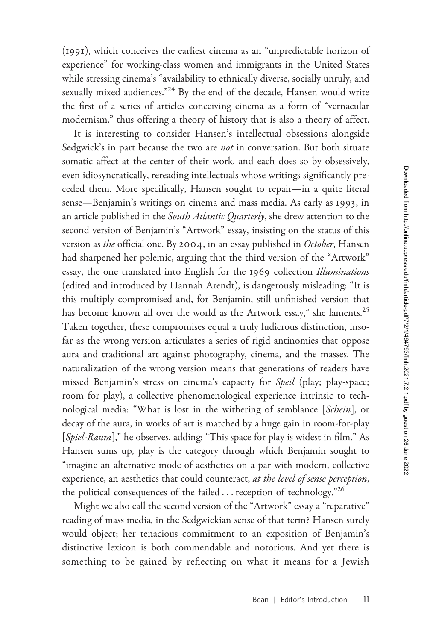(1991), which conceives the earliest cinema as an "unpredictable horizon of experience" for working-class women and immigrants in the United States while stressing cinema's "availability to ethnically diverse, socially unruly, and sexually mixed audiences."<sup>24</sup> By the end of the decade, Hansen would write the first of a series of articles conceiving cinema as a form of "vernacular modernism," thus offering a theory of history that is also a theory of affect.

It is interesting to consider Hansen's intellectual obsessions alongside Sedgwick's in part because the two are not in conversation. But both situate somatic affect at the center of their work, and each does so by obsessively, even idiosyncratically, rereading intellectuals whose writings significantly preceded them. More specifically, Hansen sought to repair—in a quite literal sense—Benjamin's writings on cinema and mass media. As early as 1993, in an article published in the South Atlantic Quarterly, she drew attention to the second version of Benjamin's "Artwork" essay, insisting on the status of this version as the official one. By 2004, in an essay published in October, Hansen had sharpened her polemic, arguing that the third version of the "Artwork" essay, the one translated into English for the 1969 collection Illuminations (edited and introduced by Hannah Arendt), is dangerously misleading: "It is this multiply compromised and, for Benjamin, still unfinished version that has become known all over the world as the Artwork essay," she laments.<sup>25</sup> Taken together, these compromises equal a truly ludicrous distinction, insofar as the wrong version articulates a series of rigid antinomies that oppose aura and traditional art against photography, cinema, and the masses. The naturalization of the wrong version means that generations of readers have missed Benjamin's stress on cinema's capacity for Speil (play; play-space; room for play), a collective phenomenological experience intrinsic to technological media: "What is lost in the withering of semblance [Schein], or decay of the aura, in works of art is matched by a huge gain in room-for-play [Spiel-Raum]," he observes, adding: "This space for play is widest in film." As Hansen sums up, play is the category through which Benjamin sought to "imagine an alternative mode of aesthetics on a par with modern, collective experience, an aesthetics that could counteract, at the level of sense perception, the political consequences of the failed ... reception of technology."26

Might we also call the second version of the "Artwork" essay a "reparative" reading of mass media, in the Sedgwickian sense of that term? Hansen surely would object; her tenacious commitment to an exposition of Benjamin's distinctive lexicon is both commendable and notorious. And yet there is something to be gained by reflecting on what it means for a Jewish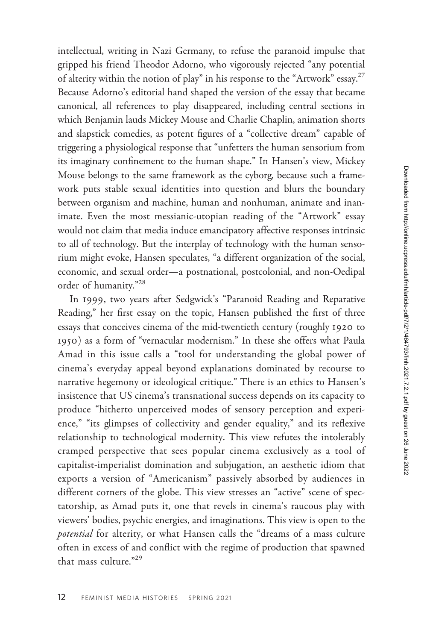intellectual, writing in Nazi Germany, to refuse the paranoid impulse that gripped his friend Theodor Adorno, who vigorously rejected "any potential of alterity within the notion of play" in his response to the "Artwork" essay.<sup>27</sup> Because Adorno's editorial hand shaped the version of the essay that became canonical, all references to play disappeared, including central sections in which Benjamin lauds Mickey Mouse and Charlie Chaplin, animation shorts and slapstick comedies, as potent figures of a "collective dream" capable of triggering a physiological response that "unfetters the human sensorium from its imaginary confinement to the human shape." In Hansen's view, Mickey Mouse belongs to the same framework as the cyborg, because such a framework puts stable sexual identities into question and blurs the boundary between organism and machine, human and nonhuman, animate and inanimate. Even the most messianic-utopian reading of the "Artwork" essay would not claim that media induce emancipatory affective responses intrinsic to all of technology. But the interplay of technology with the human sensorium might evoke, Hansen speculates, "a different organization of the social, economic, and sexual order—a postnational, postcolonial, and non-Oedipal order of humanity."<sup>28</sup>

In 1999, two years after Sedgwick's "Paranoid Reading and Reparative Reading," her first essay on the topic, Hansen published the first of three essays that conceives cinema of the mid-twentieth century (roughly 1920 to 1950) as a form of "vernacular modernism." In these she offers what Paula Amad in this issue calls a "tool for understanding the global power of cinema's everyday appeal beyond explanations dominated by recourse to narrative hegemony or ideological critique." There is an ethics to Hansen's insistence that US cinema's transnational success depends on its capacity to produce "hitherto unperceived modes of sensory perception and experience," "its glimpses of collectivity and gender equality," and its reflexive relationship to technological modernity. This view refutes the intolerably cramped perspective that sees popular cinema exclusively as a tool of capitalist-imperialist domination and subjugation, an aesthetic idiom that exports a version of "Americanism" passively absorbed by audiences in different corners of the globe. This view stresses an "active" scene of spectatorship, as Amad puts it, one that revels in cinema's raucous play with viewers' bodies, psychic energies, and imaginations. This view is open to the potential for alterity, or what Hansen calls the "dreams of a mass culture often in excess of and conflict with the regime of production that spawned that mass culture."29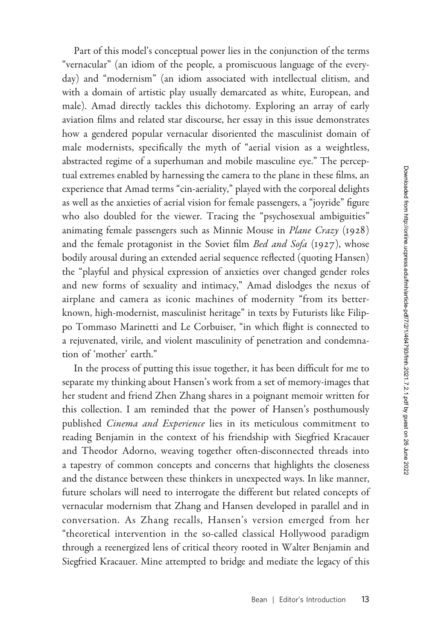Part of this model's conceptual power lies in the conjunction of the terms "vernacular" (an idiom of the people, a promiscuous language of the everyday) and "modernism" (an idiom associated with intellectual elitism, and with a domain of artistic play usually demarcated as white, European, and male). Amad directly tackles this dichotomy. Exploring an array of early aviation films and related star discourse, her essay in this issue demonstrates how a gendered popular vernacular disoriented the masculinist domain of male modernists, specifically the myth of "aerial vision as a weightless, abstracted regime of a superhuman and mobile masculine eye." The perceptual extremes enabled by harnessing the camera to the plane in these films, an experience that Amad terms "cin-aeriality," played with the corporeal delights as well as the anxieties of aerial vision for female passengers, a "joyride" figure who also doubled for the viewer. Tracing the "psychosexual ambiguities" animating female passengers such as Minnie Mouse in Plane Crazy (1928) and the female protagonist in the Soviet film Bed and Sofa (1927), whose bodily arousal during an extended aerial sequence reflected (quoting Hansen) the "playful and physical expression of anxieties over changed gender roles and new forms of sexuality and intimacy," Amad dislodges the nexus of airplane and camera as iconic machines of modernity "from its betterknown, high-modernist, masculinist heritage" in texts by Futurists like Filippo Tommaso Marinetti and Le Corbuiser, "in which flight is connected to a rejuvenated, virile, and violent masculinity of penetration and condemnation of 'mother' earth."

In the process of putting this issue together, it has been difficult for me to separate my thinking about Hansen's work from a set of memory-images that her student and friend Zhen Zhang shares in a poignant memoir written for this collection. I am reminded that the power of Hansen's posthumously published *Cinema and Experience* lies in its meticulous commitment to reading Benjamin in the context of his friendship with Siegfried Kracauer and Theodor Adorno, weaving together often-disconnected threads into a tapestry of common concepts and concerns that highlights the closeness and the distance between these thinkers in unexpected ways. In like manner, future scholars will need to interrogate the different but related concepts of vernacular modernism that Zhang and Hansen developed in parallel and in conversation. As Zhang recalls, Hansen's version emerged from her "theoretical intervention in the so-called classical Hollywood paradigm through a reenergized lens of critical theory rooted in Walter Benjamin and Siegfried Kracauer. Mine attempted to bridge and mediate the legacy of this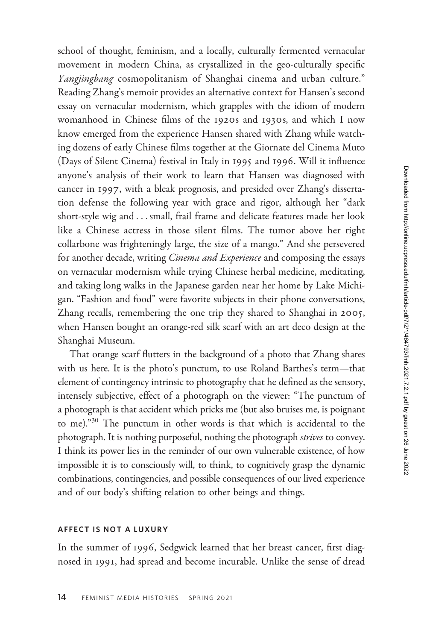school of thought, feminism, and a locally, culturally fermented vernacular movement in modern China, as crystallized in the geo-culturally specific Yangjingbang cosmopolitanism of Shanghai cinema and urban culture." Reading Zhang's memoir provides an alternative context for Hansen's second essay on vernacular modernism, which grapples with the idiom of modern womanhood in Chinese films of the 1920s and 1930s, and which I now know emerged from the experience Hansen shared with Zhang while watching dozens of early Chinese films together at the Giornate del Cinema Muto (Days of Silent Cinema) festival in Italy in 1995 and 1996. Will it influence anyone's analysis of their work to learn that Hansen was diagnosed with cancer in 1997, with a bleak prognosis, and presided over Zhang's dissertation defense the following year with grace and rigor, although her "dark short-style wig and ...small, frail frame and delicate features made her look like a Chinese actress in those silent films. The tumor above her right collarbone was frighteningly large, the size of a mango." And she persevered for another decade, writing *Cinema and Experience* and composing the essays on vernacular modernism while trying Chinese herbal medicine, meditating, and taking long walks in the Japanese garden near her home by Lake Michigan. "Fashion and food" were favorite subjects in their phone conversations, Zhang recalls, remembering the one trip they shared to Shanghai in 2005, when Hansen bought an orange-red silk scarf with an art deco design at the Shanghai Museum.

That orange scarf flutters in the background of a photo that Zhang shares with us here. It is the photo's punctum, to use Roland Barthes's term—that element of contingency intrinsic to photography that he defined as the sensory, intensely subjective, effect of a photograph on the viewer: "The punctum of a photograph is that accident which pricks me (but also bruises me, is poignant to me)."<sup>30</sup> The punctum in other words is that which is accidental to the photograph. It is nothing purposeful, nothing the photograph strives to convey. I think its power lies in the reminder of our own vulnerable existence, of how impossible it is to consciously will, to think, to cognitively grasp the dynamic combinations, contingencies, and possible consequences of our lived experience and of our body's shifting relation to other beings and things.

### AFFECT IS NOT A LUXURY

In the summer of 1996, Sedgwick learned that her breast cancer, first diagnosed in 1991, had spread and become incurable. Unlike the sense of dread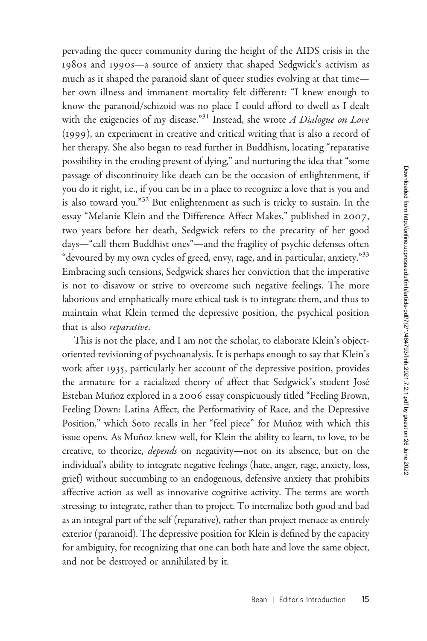pervading the queer community during the height of the AIDS crisis in the 1980s and 1990s—a source of anxiety that shaped Sedgwick's activism as much as it shaped the paranoid slant of queer studies evolving at that time her own illness and immanent mortality felt different: "I knew enough to know the paranoid/schizoid was no place I could afford to dwell as I dealt with the exigencies of my disease."<sup>31</sup> Instead, she wrote  $A$  Dialogue on Love (1999), an experiment in creative and critical writing that is also a record of her therapy. She also began to read further in Buddhism, locating "reparative possibility in the eroding present of dying," and nurturing the idea that "some passage of discontinuity like death can be the occasion of enlightenment, if you do it right, i.e., if you can be in a place to recognize a love that is you and is also toward you."<sup>32</sup> But enlightenment as such is tricky to sustain. In the essay "Melanie Klein and the Difference Affect Makes," published in 2007, two years before her death, Sedgwick refers to the precarity of her good days—"call them Buddhist ones"—and the fragility of psychic defenses often "devoured by my own cycles of greed, envy, rage, and in particular, anxiety."<sup>33</sup> Embracing such tensions, Sedgwick shares her conviction that the imperative is not to disavow or strive to overcome such negative feelings. The more laborious and emphatically more ethical task is to integrate them, and thus to maintain what Klein termed the depressive position, the psychical position that is also *reparative*.

This is not the place, and I am not the scholar, to elaborate Klein's objectoriented revisioning of psychoanalysis. It is perhaps enough to say that Klein's work after 1935, particularly her account of the depressive position, provides the armature for a racialized theory of affect that Sedgwick's student José Esteban Muñoz explored in a 2006 essay conspicuously titled "Feeling Brown, Feeling Down: Latina Affect, the Performativity of Race, and the Depressive Position," which Soto recalls in her "feel piece" for Muñoz with which this issue opens. As Muñoz knew well, for Klein the ability to learn, to love, to be creative, to theorize, *depends* on negativity—not on its absence, but on the individual's ability to integrate negative feelings (hate, anger, rage, anxiety, loss, grief) without succumbing to an endogenous, defensive anxiety that prohibits affective action as well as innovative cognitive activity. The terms are worth stressing: to integrate, rather than to project. To internalize both good and bad as an integral part of the self (reparative), rather than project menace as entirely exterior (paranoid). The depressive position for Klein is defined by the capacity for ambiguity, for recognizing that one can both hate and love the same object, and not be destroyed or annihilated by it.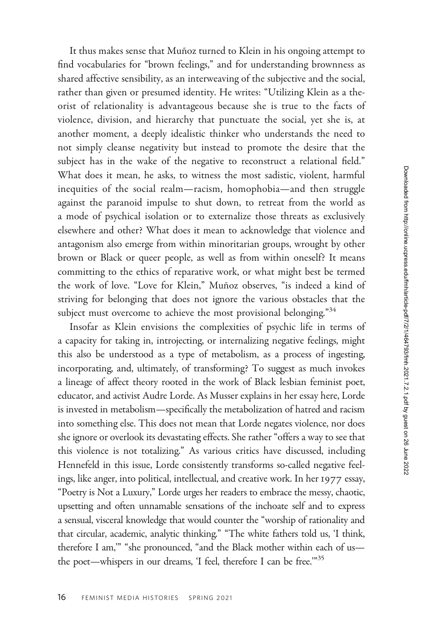It thus makes sense that Muñoz turned to Klein in his ongoing attempt to find vocabularies for "brown feelings," and for understanding brownness as shared affective sensibility, as an interweaving of the subjective and the social, rather than given or presumed identity. He writes: "Utilizing Klein as a theorist of relationality is advantageous because she is true to the facts of violence, division, and hierarchy that punctuate the social, yet she is, at another moment, a deeply idealistic thinker who understands the need to not simply cleanse negativity but instead to promote the desire that the subject has in the wake of the negative to reconstruct a relational field." What does it mean, he asks, to witness the most sadistic, violent, harmful inequities of the social realm—racism, homophobia—and then struggle against the paranoid impulse to shut down, to retreat from the world as a mode of psychical isolation or to externalize those threats as exclusively elsewhere and other? What does it mean to acknowledge that violence and antagonism also emerge from within minoritarian groups, wrought by other brown or Black or queer people, as well as from within oneself? It means committing to the ethics of reparative work, or what might best be termed the work of love. "Love for Klein," Muñoz observes, "is indeed a kind of striving for belonging that does not ignore the various obstacles that the subject must overcome to achieve the most provisional belonging."<sup>34</sup>

Insofar as Klein envisions the complexities of psychic life in terms of a capacity for taking in, introjecting, or internalizing negative feelings, might this also be understood as a type of metabolism, as a process of ingesting, incorporating, and, ultimately, of transforming? To suggest as much invokes a lineage of affect theory rooted in the work of Black lesbian feminist poet, educator, and activist Audre Lorde. As Musser explains in her essay here, Lorde is invested in metabolism—specifically the metabolization of hatred and racism into something else. This does not mean that Lorde negates violence, nor does she ignore or overlook its devastating effects. She rather "offers a way to see that this violence is not totalizing." As various critics have discussed, including Hennefeld in this issue, Lorde consistently transforms so-called negative feelings, like anger, into political, intellectual, and creative work. In her 1977 essay, "Poetry is Not a Luxury," Lorde urges her readers to embrace the messy, chaotic, upsetting and often unnamable sensations of the inchoate self and to express a sensual, visceral knowledge that would counter the "worship of rationality and that circular, academic, analytic thinking." "The white fathers told us, 'I think, therefore I am,'" "she pronounced, "and the Black mother within each of us the poet—whispers in our dreams, 'I feel, therefore I can be free.'"35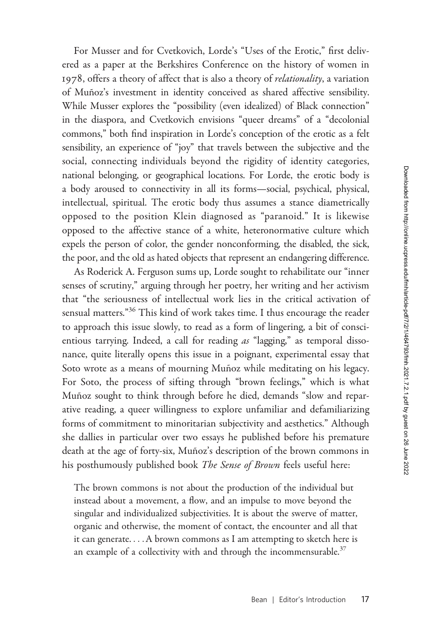For Musser and for Cvetkovich, Lorde's "Uses of the Erotic," first delivered as a paper at the Berkshires Conference on the history of women in 1978, offers a theory of affect that is also a theory of *relationality*, a variation of Muñoz's investment in identity conceived as shared affective sensibility. While Musser explores the "possibility (even idealized) of Black connection" in the diaspora, and Cvetkovich envisions "queer dreams" of a "decolonial commons," both find inspiration in Lorde's conception of the erotic as a felt sensibility, an experience of "joy" that travels between the subjective and the social, connecting individuals beyond the rigidity of identity categories, national belonging, or geographical locations. For Lorde, the erotic body is a body aroused to connectivity in all its forms—social, psychical, physical, intellectual, spiritual. The erotic body thus assumes a stance diametrically opposed to the position Klein diagnosed as "paranoid." It is likewise opposed to the affective stance of a white, heteronormative culture which expels the person of color, the gender nonconforming, the disabled, the sick, the poor, and the old as hated objects that represent an endangering difference.

As Roderick A. Ferguson sums up, Lorde sought to rehabilitate our "inner senses of scrutiny," arguing through her poetry, her writing and her activism that "the seriousness of intellectual work lies in the critical activation of sensual matters."<sup>36</sup> This kind of work takes time. I thus encourage the reader to approach this issue slowly, to read as a form of lingering, a bit of conscientious tarrying. Indeed, a call for reading as "lagging," as temporal dissonance, quite literally opens this issue in a poignant, experimental essay that Soto wrote as a means of mourning Muñoz while meditating on his legacy. For Soto, the process of sifting through "brown feelings," which is what Muñoz sought to think through before he died, demands "slow and reparative reading, a queer willingness to explore unfamiliar and defamiliarizing forms of commitment to minoritarian subjectivity and aesthetics." Although she dallies in particular over two essays he published before his premature death at the age of forty-six, Muñoz's description of the brown commons in his posthumously published book The Sense of Brown feels useful here:

The brown commons is not about the production of the individual but instead about a movement, a flow, and an impulse to move beyond the singular and individualized subjectivities. It is about the swerve of matter, organic and otherwise, the moment of contact, the encounter and all that it can generate. ...A brown commons as I am attempting to sketch here is an example of a collectivity with and through the incommensurable.<sup>37</sup>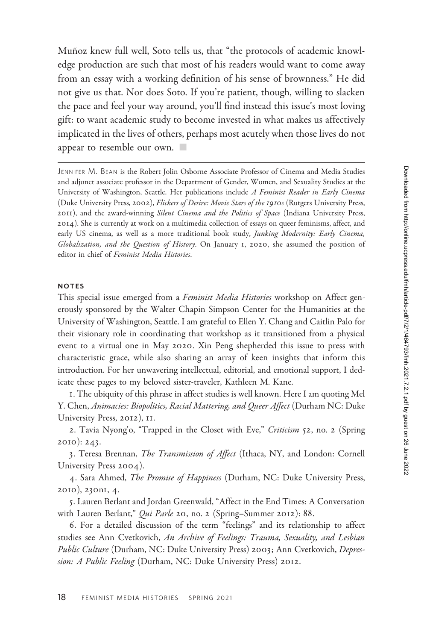Muñoz knew full well, Soto tells us, that "the protocols of academic knowledge production are such that most of his readers would want to come away from an essay with a working definition of his sense of brownness." He did not give us that. Nor does Soto. If you're patient, though, willing to slacken the pace and feel your way around, you'll find instead this issue's most loving gift: to want academic study to become invested in what makes us affectively implicated in the lives of others, perhaps most acutely when those lives do not appear to resemble our own.  $\blacksquare$ 

JENNIFER M. BEAN is the Robert Jolin Osborne Associate Professor of Cinema and Media Studies and adjunct associate professor in the Department of Gender, Women, and Sexuality Studies at the University of Washington, Seattle. Her publications include A Feminist Reader in Early Cinema (Duke University Press, 2002), Flickers of Desire: Movie Stars of the 1910s (Rutgers University Press, 2011), and the award-winning Silent Cinema and the Politics of Space (Indiana University Press, 2014). She is currently at work on a multimedia collection of essays on queer feminisms, affect, and early US cinema, as well as a more traditional book study, Junking Modernity: Early Cinema, Globalization, and the Question of History. On January 1, 2020, she assumed the position of editor in chief of Feminist Media Histories.

#### NOTES

This special issue emerged from a Feminist Media Histories workshop on Affect generously sponsored by the Walter Chapin Simpson Center for the Humanities at the University of Washington, Seattle. I am grateful to Ellen Y. Chang and Caitlin Palo for their visionary role in coordinating that workshop as it transitioned from a physical event to a virtual one in May 2020. Xin Peng shepherded this issue to press with characteristic grace, while also sharing an array of keen insights that inform this introduction. For her unwavering intellectual, editorial, and emotional support, I dedicate these pages to my beloved sister-traveler, Kathleen M. Kane.

1. The ubiquity of this phrase in affect studies is well known. Here I am quoting Mel Y. Chen, Animacies: Biopolitics, Racial Mattering, and Queer Affect (Durham NC: Duke University Press, 2012), 11.

2. Tavia Nyong'o, "Trapped in the Closet with Eve," Criticism 52, no. 2 (Spring 2010): 243.

3. Teresa Brennan, The Transmission of Affect (Ithaca, NY, and London: Cornell University Press 2004).

4. Sara Ahmed, *The Promise of Happiness* (Durham, NC: Duke University Press, 2010), 230n1, 4.

5. Lauren Berlant and Jordan Greenwald, "Affect in the End Times: A Conversation with Lauren Berlant," *Qui Parle* 20, no. 2 (Spring–Summer 2012): 88.

6. For a detailed discussion of the term "feelings" and its relationship to affect studies see Ann Cvetkovich, An Archive of Feelings: Trauma, Sexuality, and Lesbian Public Culture (Durham, NC: Duke University Press) 2003; Ann Cvetkovich, Depression: A Public Feeling (Durham, NC: Duke University Press) 2012.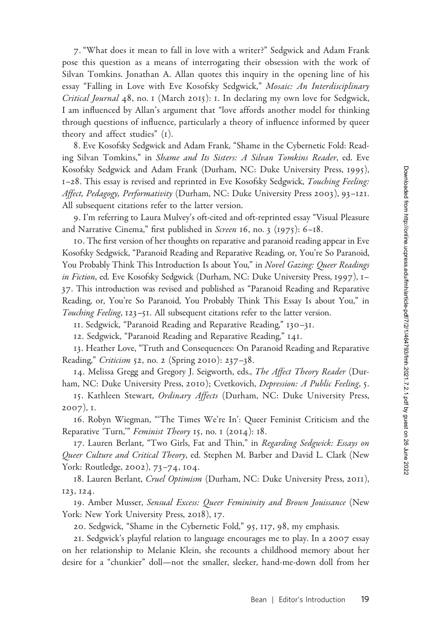7. "What does it mean to fall in love with a writer?" Sedgwick and Adam Frank pose this question as a means of interrogating their obsession with the work of Silvan Tomkins. Jonathan A. Allan quotes this inquiry in the opening line of his essay "Falling in Love with Eve Kosofsky Sedgwick," Mosaic: An Interdisciplinary Critical Journal 48, no. 1 (March 2015): 1. In declaring my own love for Sedgwick, I am influenced by Allan's argument that "love affords another model for thinking through questions of influence, particularly a theory of influence informed by queer theory and affect studies" (1).

8. Eve Kosofsky Sedgwick and Adam Frank, "Shame in the Cybernetic Fold: Reading Silvan Tomkins," in Shame and Its Sisters: A Silvan Tomkins Reader, ed. Eve Kosofsky Sedgwick and Adam Frank (Durham, NC: Duke University Press, 1995), 1–28. This essay is revised and reprinted in Eve Kosofsky Sedgwick, Touching Feeling: Affect, Pedagogy, Performativity (Durham, NC: Duke University Press 2003), 93-121. All subsequent citations refer to the latter version.

9. I'm referring to Laura Mulvey's oft-cited and oft-reprinted essay "Visual Pleasure and Narrative Cinema," first published in Screen 16, no. 3 (1975):  $6-18$ .

10. The first version of her thoughts on reparative and paranoid reading appear in Eve Kosofsky Sedgwick, "Paranoid Reading and Reparative Reading, or, You're So Paranoid, You Probably Think This Introduction Is about You," in Novel Gazing: Queer Readings in Fiction, ed. Eve Kosofsky Sedgwick (Durham, NC: Duke University Press, 1997), 1-37. This introduction was revised and published as "Paranoid Reading and Reparative Reading, or, You're So Paranoid, You Probably Think This Essay Is about You," in Touching Feeling, 123–51. All subsequent citations refer to the latter version.

11. Sedgwick, "Paranoid Reading and Reparative Reading," 130–31.

12. Sedgwick, "Paranoid Reading and Reparative Reading," 141.

13. Heather Love, "Truth and Consequences: On Paranoid Reading and Reparative Reading," Criticism 52, no. 2 (Spring 2010): 237-38.

14. Melissa Gregg and Gregory J. Seigworth, eds., The Affect Theory Reader (Durham, NC: Duke University Press, 2010); Cvetkovich, Depression: A Public Feeling, 5.

15. Kathleen Stewart, Ordinary Affects (Durham, NC: Duke University Press, 2007), 1.

16. Robyn Wiegman, "'The Times We're In': Queer Feminist Criticism and the Reparative 'Turn," Feminist Theory 15, no. 1 (2014): 18.

17. Lauren Berlant, "Two Girls, Fat and Thin," in Regarding Sedgwick: Essays on Queer Culture and Critical Theory, ed. Stephen M. Barber and David L. Clark (New York: Routledge, 2002), 73–74, 104.

18. Lauren Berlant, Cruel Optimism (Durham, NC: Duke University Press, 2011), 123, 124.

19. Amber Musser, Sensual Excess: Queer Femininity and Brown Jouissance (New York: New York University Press, 2018), 17.

20. Sedgwick, "Shame in the Cybernetic Fold," 95, 117, 98, my emphasis.

21. Sedgwick's playful relation to language encourages me to play. In a 2007 essay on her relationship to Melanie Klein, she recounts a childhood memory about her desire for a "chunkier" doll—not the smaller, sleeker, hand-me-down doll from her